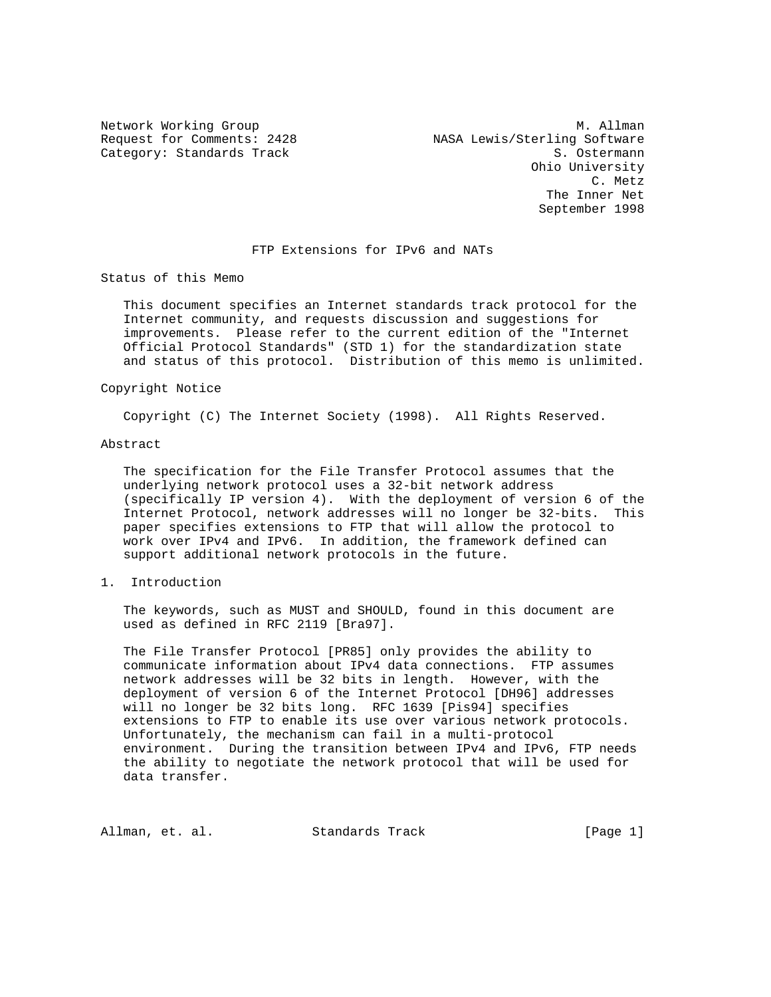Network Working Group and Month Communications of M. Allman Request for Comments: 2428 NASA Lewis/Sterling Software Category: Standards Track S. Ostermann Ohio University C. Metz The Inner Net September 1998

## FTP Extensions for IPv6 and NATs

Status of this Memo

 This document specifies an Internet standards track protocol for the Internet community, and requests discussion and suggestions for improvements. Please refer to the current edition of the "Internet Official Protocol Standards" (STD 1) for the standardization state and status of this protocol. Distribution of this memo is unlimited.

## Copyright Notice

Copyright (C) The Internet Society (1998). All Rights Reserved.

### Abstract

 The specification for the File Transfer Protocol assumes that the underlying network protocol uses a 32-bit network address (specifically IP version 4). With the deployment of version 6 of the Internet Protocol, network addresses will no longer be 32-bits. This paper specifies extensions to FTP that will allow the protocol to work over IPv4 and IPv6. In addition, the framework defined can support additional network protocols in the future.

1. Introduction

 The keywords, such as MUST and SHOULD, found in this document are used as defined in RFC 2119 [Bra97].

 The File Transfer Protocol [PR85] only provides the ability to communicate information about IPv4 data connections. FTP assumes network addresses will be 32 bits in length. However, with the deployment of version 6 of the Internet Protocol [DH96] addresses will no longer be 32 bits long. RFC 1639 [Pis94] specifies extensions to FTP to enable its use over various network protocols. Unfortunately, the mechanism can fail in a multi-protocol environment. During the transition between IPv4 and IPv6, FTP needs the ability to negotiate the network protocol that will be used for data transfer.

Allman, et. al. Standards Track [Page 1]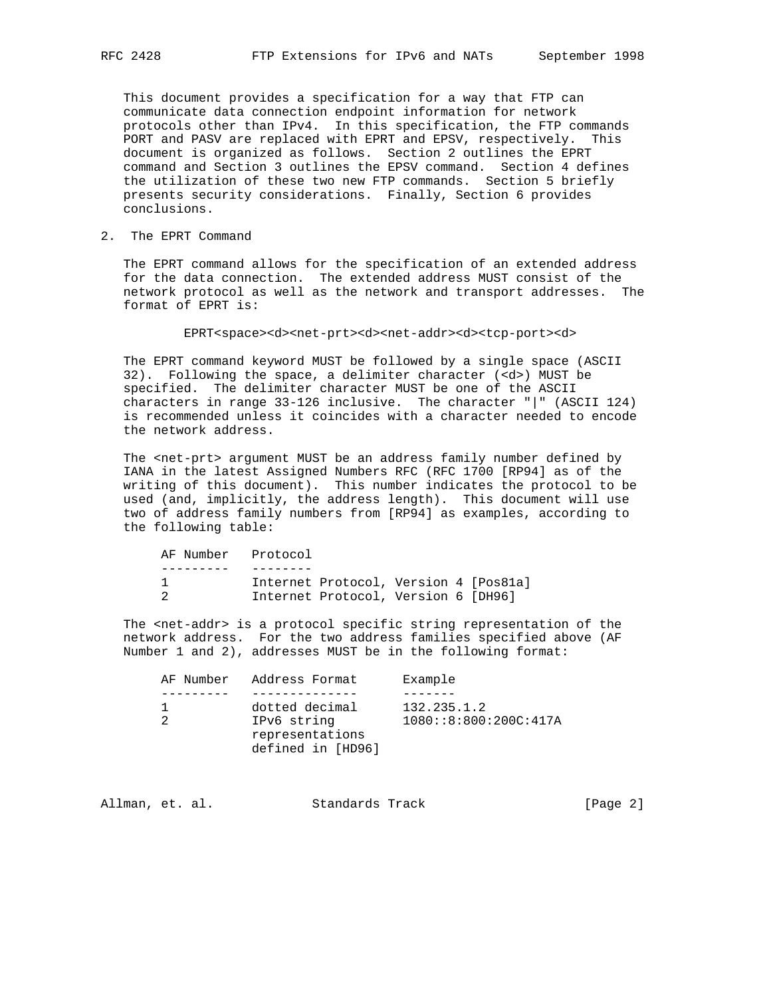This document provides a specification for a way that FTP can communicate data connection endpoint information for network protocols other than IPv4. In this specification, the FTP commands PORT and PASV are replaced with EPRT and EPSV, respectively. This document is organized as follows. Section 2 outlines the EPRT command and Section 3 outlines the EPSV command. Section 4 defines the utilization of these two new FTP commands. Section 5 briefly presents security considerations. Finally, Section 6 provides conclusions.

2. The EPRT Command

 The EPRT command allows for the specification of an extended address for the data connection. The extended address MUST consist of the network protocol as well as the network and transport addresses. The format of EPRT is:

EPRT<space><d><net-prt><d><net-addr><d><tcp-port><d>

 The EPRT command keyword MUST be followed by a single space (ASCII 32). Following the space, a delimiter character (<d>) MUST be specified. The delimiter character MUST be one of the ASCII characters in range 33-126 inclusive. The character "|" (ASCII 124) is recommended unless it coincides with a character needed to encode the network address.

 The <net-prt> argument MUST be an address family number defined by IANA in the latest Assigned Numbers RFC (RFC 1700 [RP94] as of the writing of this document). This number indicates the protocol to be used (and, implicitly, the address length). This document will use two of address family numbers from [RP94] as examples, according to the following table:

| AF Number Protocol |                                       |  |  |
|--------------------|---------------------------------------|--|--|
|                    |                                       |  |  |
|                    | Internet Protocol, Version 4 [Pos81a] |  |  |
|                    | Internet Protocol, Version 6 [DH96]   |  |  |

 The <net-addr> is a protocol specific string representation of the network address. For the two address families specified above (AF Number 1 and 2), addresses MUST be in the following format:

|  | AF Number Address Format       | Example                  |
|--|--------------------------------|--------------------------|
|  |                                |                          |
|  | dotted decimal                 | 132.235.1.2              |
|  | IPv6 string<br>representations | 1080::8::800::200C::417A |
|  | defined in [HD96]              |                          |

| Allman, et. al.<br>Standards Track | [Page 2] |  |  |
|------------------------------------|----------|--|--|
|------------------------------------|----------|--|--|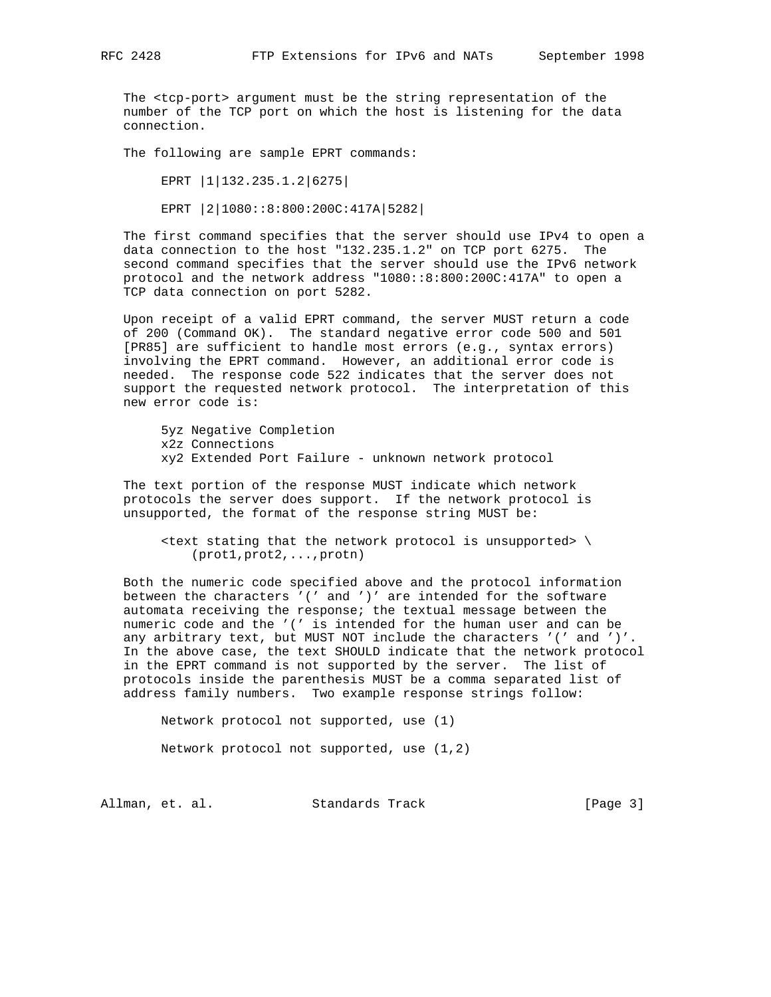The <tcp-port> argument must be the string representation of the number of the TCP port on which the host is listening for the data connection.

The following are sample EPRT commands:

 EPRT |1|132.235.1.2|6275| EPRT |2|1080::8:800:200C:417A|5282|

 The first command specifies that the server should use IPv4 to open a data connection to the host "132.235.1.2" on TCP port 6275. The second command specifies that the server should use the IPv6 network protocol and the network address "1080::8:800:200C:417A" to open a TCP data connection on port 5282.

 Upon receipt of a valid EPRT command, the server MUST return a code of 200 (Command OK). The standard negative error code 500 and 501 [PR85] are sufficient to handle most errors (e.g., syntax errors) involving the EPRT command. However, an additional error code is needed. The response code 522 indicates that the server does not support the requested network protocol. The interpretation of this new error code is:

 5yz Negative Completion x2z Connections xy2 Extended Port Failure - unknown network protocol

 The text portion of the response MUST indicate which network protocols the server does support. If the network protocol is unsupported, the format of the response string MUST be:

 $\epsilon$  stating that the network protocol is unsupported>  $\setminus$ (prot1,prot2,...,protn)

 Both the numeric code specified above and the protocol information between the characters '(' and ')' are intended for the software automata receiving the response; the textual message between the numeric code and the '(' is intended for the human user and can be any arbitrary text, but MUST NOT include the characters '(' and ')'. In the above case, the text SHOULD indicate that the network protocol in the EPRT command is not supported by the server. The list of protocols inside the parenthesis MUST be a comma separated list of address family numbers. Two example response strings follow:

 Network protocol not supported, use (1) Network protocol not supported, use (1,2)

Allman, et. al. Standards Track [Page 3]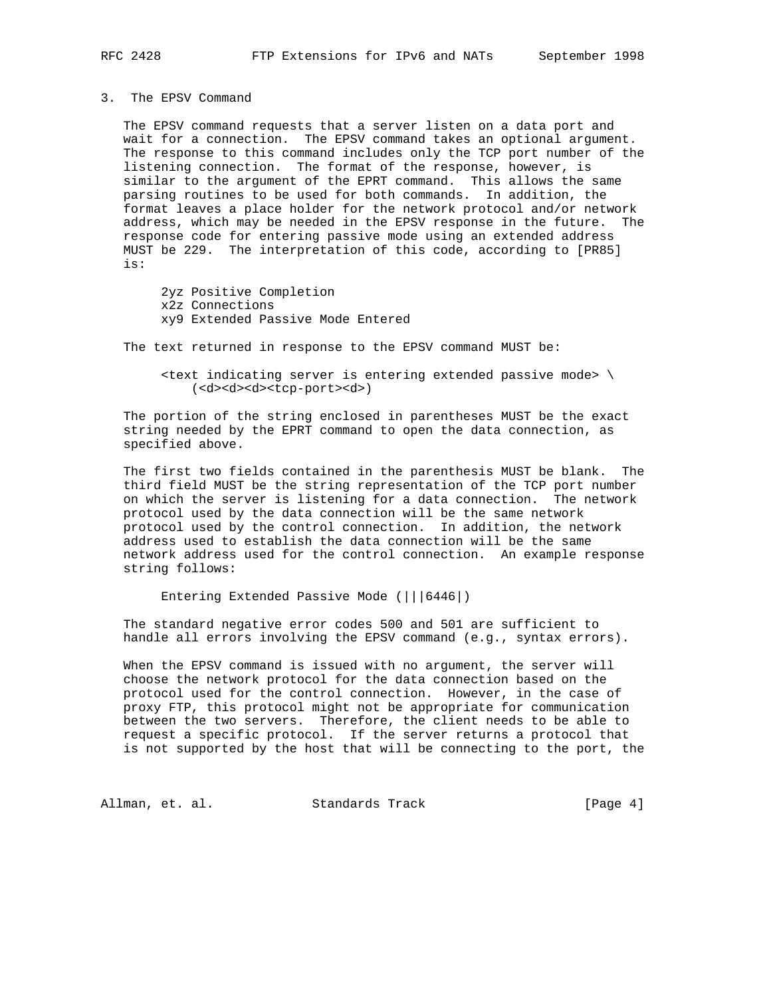3. The EPSV Command

 The EPSV command requests that a server listen on a data port and wait for a connection. The EPSV command takes an optional argument. The response to this command includes only the TCP port number of the listening connection. The format of the response, however, is similar to the argument of the EPRT command. This allows the same parsing routines to be used for both commands. In addition, the format leaves a place holder for the network protocol and/or network address, which may be needed in the EPSV response in the future. The response code for entering passive mode using an extended address MUST be 229. The interpretation of this code, according to [PR85] is:

 2yz Positive Completion x2z Connections xy9 Extended Passive Mode Entered

The text returned in response to the EPSV command MUST be:

 $\epsilon$  -text indicating server is entering extended passive mode>  $\setminus$ (<d><d><d><tcp-port><d>)

 The portion of the string enclosed in parentheses MUST be the exact string needed by the EPRT command to open the data connection, as specified above.

 The first two fields contained in the parenthesis MUST be blank. The third field MUST be the string representation of the TCP port number on which the server is listening for a data connection. The network protocol used by the data connection will be the same network protocol used by the control connection. In addition, the network address used to establish the data connection will be the same network address used for the control connection. An example response string follows:

Entering Extended Passive Mode (|||6446|)

 The standard negative error codes 500 and 501 are sufficient to handle all errors involving the EPSV command (e.g., syntax errors).

 When the EPSV command is issued with no argument, the server will choose the network protocol for the data connection based on the protocol used for the control connection. However, in the case of proxy FTP, this protocol might not be appropriate for communication between the two servers. Therefore, the client needs to be able to request a specific protocol. If the server returns a protocol that is not supported by the host that will be connecting to the port, the

Allman, et. al. Standards Track (Page 4)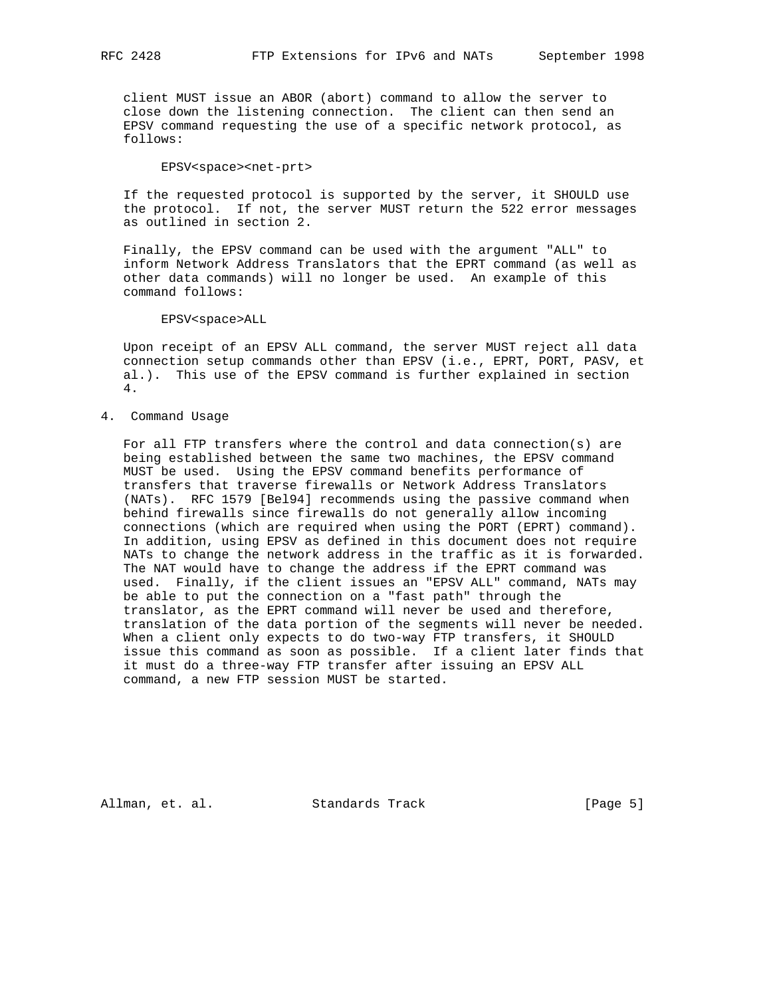client MUST issue an ABOR (abort) command to allow the server to close down the listening connection. The client can then send an EPSV command requesting the use of a specific network protocol, as follows:

EPSV<space><net-prt>

 If the requested protocol is supported by the server, it SHOULD use the protocol. If not, the server MUST return the 522 error messages as outlined in section 2.

 Finally, the EPSV command can be used with the argument "ALL" to inform Network Address Translators that the EPRT command (as well as other data commands) will no longer be used. An example of this command follows:

EPSV<space>ALL

 Upon receipt of an EPSV ALL command, the server MUST reject all data connection setup commands other than EPSV (i.e., EPRT, PORT, PASV, et al.). This use of the EPSV command is further explained in section 4.

#### 4. Command Usage

 For all FTP transfers where the control and data connection(s) are being established between the same two machines, the EPSV command MUST be used. Using the EPSV command benefits performance of transfers that traverse firewalls or Network Address Translators (NATs). RFC 1579 [Bel94] recommends using the passive command when behind firewalls since firewalls do not generally allow incoming connections (which are required when using the PORT (EPRT) command). In addition, using EPSV as defined in this document does not require NATs to change the network address in the traffic as it is forwarded. The NAT would have to change the address if the EPRT command was used. Finally, if the client issues an "EPSV ALL" command, NATs may be able to put the connection on a "fast path" through the translator, as the EPRT command will never be used and therefore, translation of the data portion of the segments will never be needed. When a client only expects to do two-way FTP transfers, it SHOULD issue this command as soon as possible. If a client later finds that it must do a three-way FTP transfer after issuing an EPSV ALL command, a new FTP session MUST be started.

Allman, et. al. Standards Track [Page 5]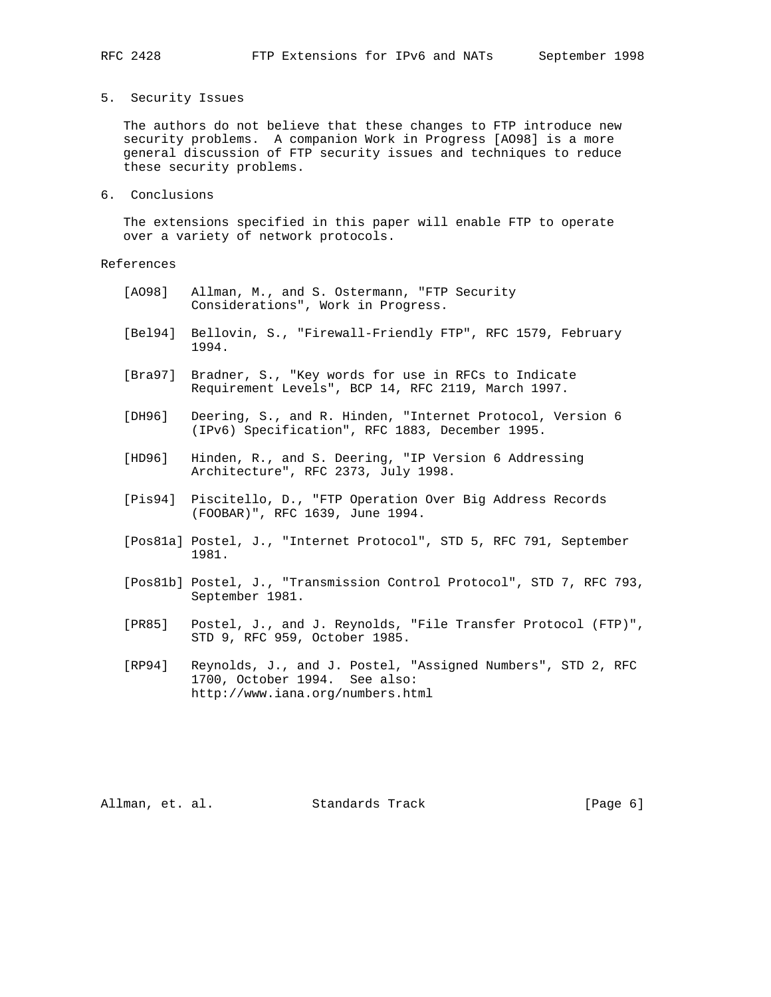5. Security Issues

 The authors do not believe that these changes to FTP introduce new security problems. A companion Work in Progress [AO98] is a more general discussion of FTP security issues and techniques to reduce these security problems.

6. Conclusions

 The extensions specified in this paper will enable FTP to operate over a variety of network protocols.

# References

- [AO98] Allman, M., and S. Ostermann, "FTP Security Considerations", Work in Progress.
- [Bel94] Bellovin, S., "Firewall-Friendly FTP", RFC 1579, February 1994.
- [Bra97] Bradner, S., "Key words for use in RFCs to Indicate Requirement Levels", BCP 14, RFC 2119, March 1997.
- [DH96] Deering, S., and R. Hinden, "Internet Protocol, Version 6 (IPv6) Specification", RFC 1883, December 1995.
- [HD96] Hinden, R., and S. Deering, "IP Version 6 Addressing Architecture", RFC 2373, July 1998.
- [Pis94] Piscitello, D., "FTP Operation Over Big Address Records (FOOBAR)", RFC 1639, June 1994.
- [Pos81a] Postel, J., "Internet Protocol", STD 5, RFC 791, September 1981.
- [Pos81b] Postel, J., "Transmission Control Protocol", STD 7, RFC 793, September 1981.
- [PR85] Postel, J., and J. Reynolds, "File Transfer Protocol (FTP)", STD 9, RFC 959, October 1985.
- [RP94] Reynolds, J., and J. Postel, "Assigned Numbers", STD 2, RFC 1700, October 1994. See also: http://www.iana.org/numbers.html

Allman, et. al. Standards Track (Page 6)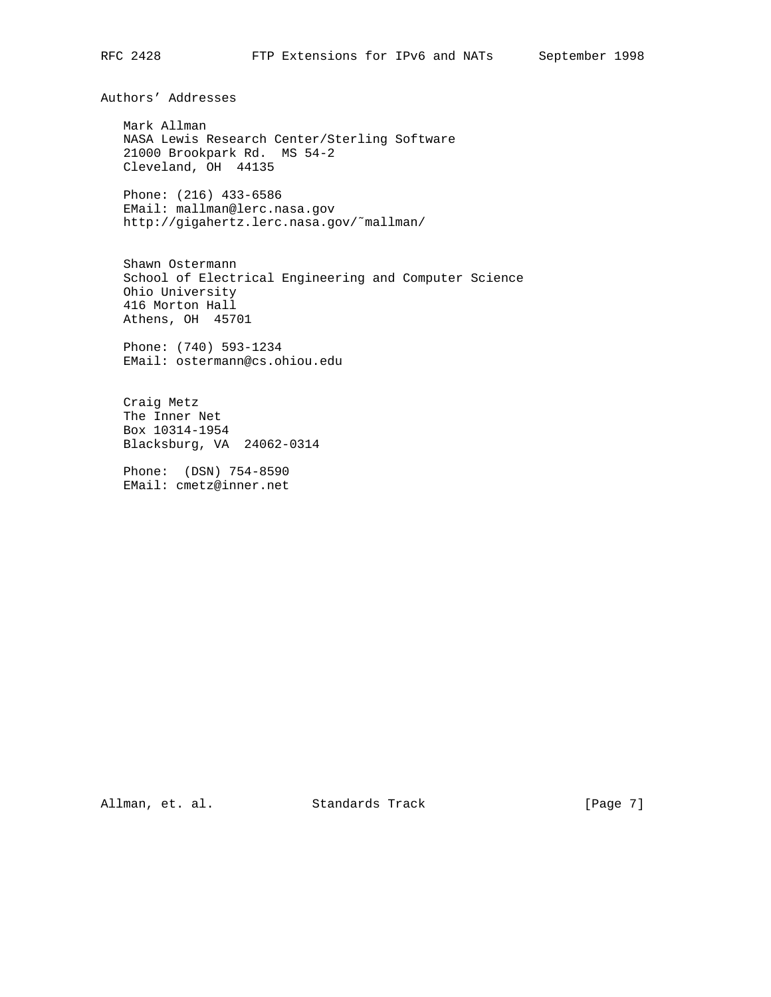Authors' Addresses

 Mark Allman NASA Lewis Research Center/Sterling Software 21000 Brookpark Rd. MS 54-2 Cleveland, OH 44135

 Phone: (216) 433-6586 EMail: mallman@lerc.nasa.gov http://gigahertz.lerc.nasa.gov/˜mallman/

 Shawn Ostermann School of Electrical Engineering and Computer Science Ohio University 416 Morton Hall Athens, OH 45701

 Phone: (740) 593-1234 EMail: ostermann@cs.ohiou.edu

 Craig Metz The Inner Net Box 10314-1954 Blacksburg, VA 24062-0314

 Phone: (DSN) 754-8590 EMail: cmetz@inner.net

Allman, et. al. Standards Track [Page 7]